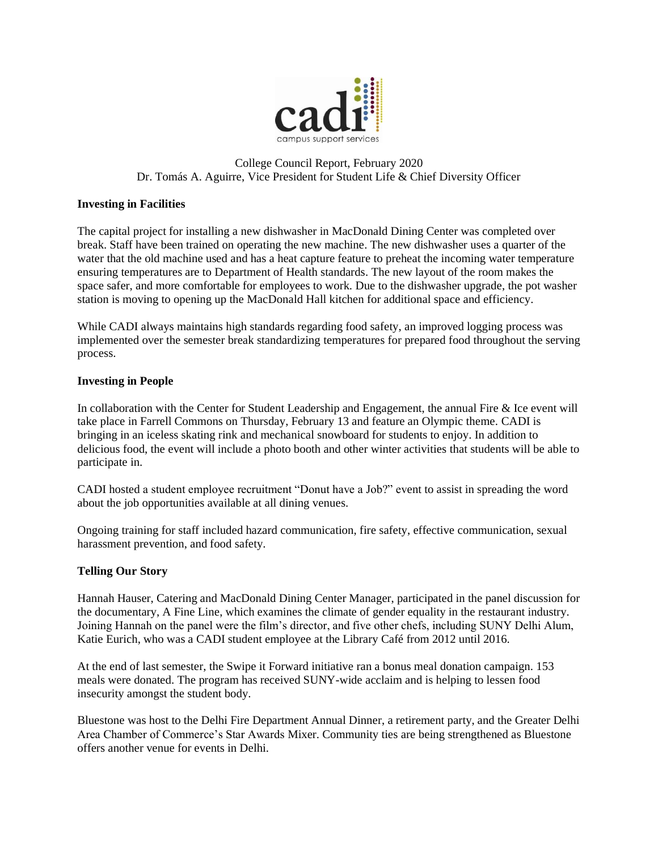

# College Council Report, February 2020 Dr. Tomás A. Aguirre, Vice President for Student Life & Chief Diversity Officer

## **Investing in Facilities**

The capital project for installing a new dishwasher in MacDonald Dining Center was completed over break. Staff have been trained on operating the new machine. The new dishwasher uses a quarter of the water that the old machine used and has a heat capture feature to preheat the incoming water temperature ensuring temperatures are to Department of Health standards. The new layout of the room makes the space safer, and more comfortable for employees to work. Due to the dishwasher upgrade, the pot washer station is moving to opening up the MacDonald Hall kitchen for additional space and efficiency.

While CADI always maintains high standards regarding food safety, an improved logging process was implemented over the semester break standardizing temperatures for prepared food throughout the serving process.

### **Investing in People**

 In collaboration with the Center for Student Leadership and Engagement, the annual Fire & Ice event will take place in Farrell Commons on Thursday, February 13 and feature an Olympic theme. CADI is bringing in an iceless skating rink and mechanical snowboard for students to enjoy. In addition to delicious food, the event will include a photo booth and other winter activities that students will be able to participate in.

 about the job opportunities available at all dining venues. CADI hosted a student employee recruitment "Donut have a Job?" event to assist in spreading the word

Ongoing training for staff included hazard communication, fire safety, effective communication, sexual harassment prevention, and food safety.

### **Telling Our Story**

Hannah Hauser, Catering and MacDonald Dining Center Manager, participated in the panel discussion for the documentary, A Fine Line, which examines the climate of gender equality in the restaurant industry. Joining Hannah on the panel were the film's director, and five other chefs, including SUNY Delhi Alum, Katie Eurich, who was a CADI student employee at the Library Café from 2012 until 2016.

At the end of last semester, the Swipe it Forward initiative ran a bonus meal donation campaign. 153 meals were donated. The program has received SUNY-wide acclaim and is helping to lessen food insecurity amongst the student body.

Bluestone was host to the Delhi Fire Department Annual Dinner, a retirement party, and the Greater Delhi Area Chamber of Commerce's Star Awards Mixer. Community ties are being strengthened as Bluestone offers another venue for events in Delhi.